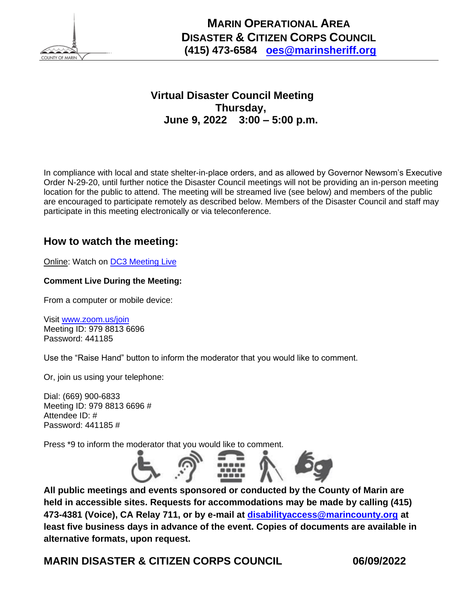

 **MARIN OPERATIONAL AREA DISASTER & CITIZEN CORPS COUNCIL (415) 473-6584 [oes@marinsheriff.org](mailto:oes@marinsheriff.org)**

# **Virtual Disaster Council Meeting Thursday, June 9, 2022 3:00 – 5:00 p.m.**

In compliance with local and state shelter-in-place orders, and as allowed by Governor Newsom's Executive Order N-29-20, until further notice the Disaster Council meetings will not be providing an in-person meeting location for the public to attend. The meeting will be streamed live (see below) and members of the public are encouraged to participate remotely as described below. Members of the Disaster Council and staff may participate in this meeting electronically or via teleconference.

# **How to watch the meeting:**

Online: Watch on [DC3 Meeting Live](http://marin.granicus.com/MediaPlayer.php?event_id=2070)

## **Comment Live During the Meeting:**

From a computer or mobile device:

Visit [www.zoom.us/join](http://www.zoom.us/join) Meeting ID: 979 8813 6696 Password: 441185

Use the "Raise Hand" button to inform the moderator that you would like to comment.

Or, join us using your telephone:

Dial: (669) 900-6833 Meeting ID: 979 8813 6696 # Attendee ID: # Password: 441185 #

Press \*9 to inform the moderator that you would like to comment.



**All public meetings and events sponsored or conducted by the County of Marin are held in accessible sites. Requests for accommodations may be made by calling (415) 473-4381 (Voice), CA Relay 711, or by e-mail at [disabilityaccess@marincounty.org](mailto:disabilityaccess@marincounty.org) at least five business days in advance of the event. Copies of documents are available in alternative formats, upon request.**

**MARIN DISASTER & CITIZEN CORPS COUNCIL 06/09/2022**